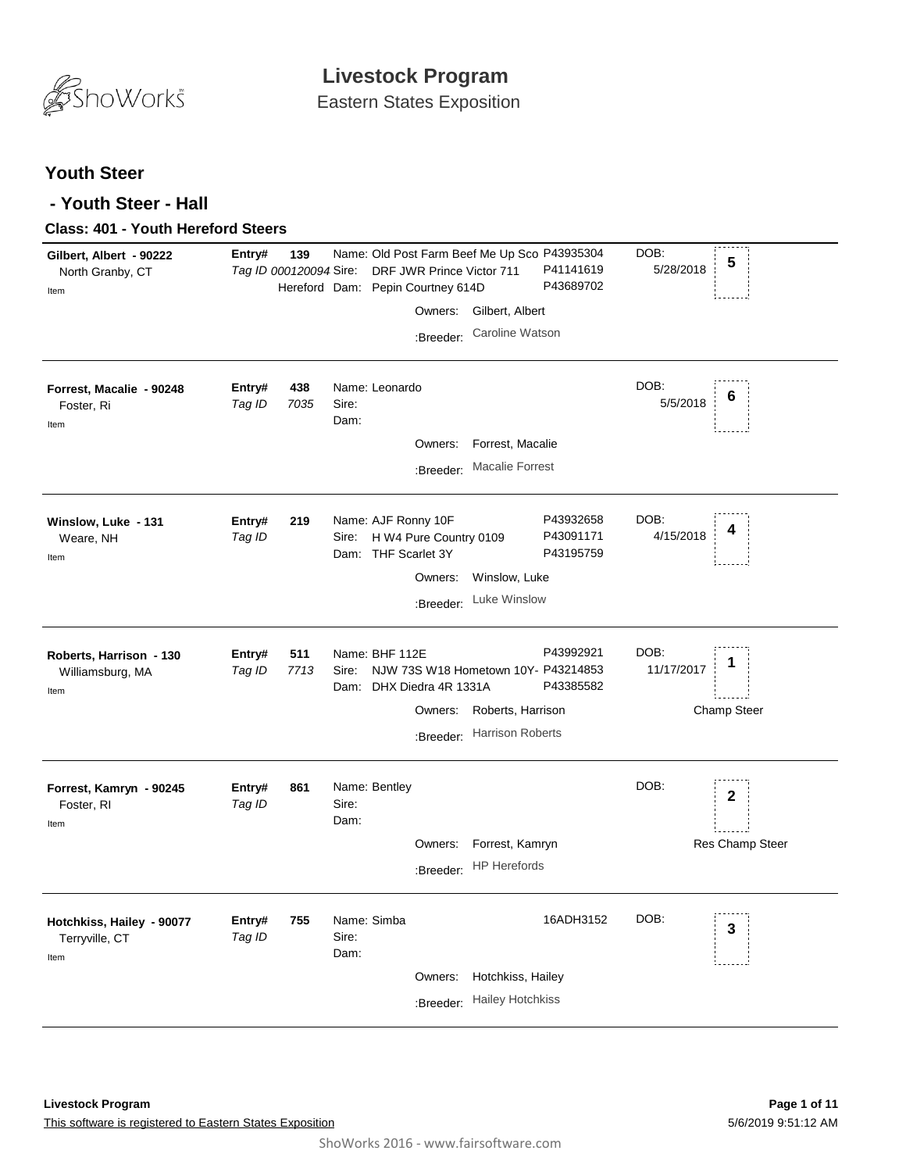

## **Youth Steer**

## **- Youth Steer - Hall**

## **Class: 401 - Youth Hereford Steers**

| Gilbert, Albert - 90222<br>North Granby, CT<br>Item | Entry#           | 139<br>Tag ID 000120094 Sire: |                              | Name: Old Post Farm Beef Me Up Sco P43935304<br>DRF JWR Prince Victor 711<br>Hereford Dam: Pepin Courtney 614D |                         | P41141619<br>P43689702              | DOB:<br>5/28/2018  | 5                  |
|-----------------------------------------------------|------------------|-------------------------------|------------------------------|----------------------------------------------------------------------------------------------------------------|-------------------------|-------------------------------------|--------------------|--------------------|
|                                                     |                  |                               |                              | Owners:                                                                                                        | Gilbert, Albert         |                                     |                    |                    |
|                                                     |                  |                               |                              | :Breeder:                                                                                                      | Caroline Watson         |                                     |                    |                    |
| Forrest, Macalie - 90248<br>Foster, Ri<br>Item      | Entry#<br>Tag ID | 438<br>7035                   | Sire:<br>Dam:                | Name: Leonardo<br>Owners:                                                                                      | Forrest, Macalie        |                                     | DOB:<br>5/5/2018   | 6                  |
|                                                     |                  |                               |                              | :Breeder:                                                                                                      | <b>Macalie Forrest</b>  |                                     |                    |                    |
| Winslow, Luke - 131<br>Weare, NH<br>Item            | Entry#<br>Tag ID | 219                           | Sire:                        | Name: AJF Ronny 10F<br>H W4 Pure Country 0109<br>Dam: THF Scarlet 3Y                                           |                         | P43932658<br>P43091171<br>P43195759 | DOB:<br>4/15/2018  | 4                  |
|                                                     |                  |                               |                              | Owners:                                                                                                        | Winslow, Luke           |                                     |                    |                    |
|                                                     |                  |                               |                              | :Breeder:                                                                                                      | Luke Winslow            |                                     |                    |                    |
| Roberts, Harrison - 130<br>Williamsburg, MA<br>Item | Entry#<br>Tag ID | 511<br>7713                   | Sire:<br>Dam:                | Name: BHF 112E<br>NJW 73S W18 Hometown 10Y- P43214853<br>DHX Diedra 4R 1331A                                   |                         | P43992921<br>P43385582              | DOB:<br>11/17/2017 |                    |
|                                                     |                  |                               |                              | Owners:                                                                                                        | Roberts, Harrison       |                                     |                    | <b>Champ Steer</b> |
|                                                     |                  |                               |                              | :Breeder:                                                                                                      | <b>Harrison Roberts</b> |                                     |                    |                    |
| Forrest, Kamryn - 90245<br>Foster, RI<br>Item       | Entry#<br>Tag ID | 861                           | Sire:<br>Dam:                | Name: Bentley                                                                                                  |                         |                                     | DOB:               | $\mathbf 2$        |
|                                                     |                  |                               |                              | Owners:                                                                                                        | Forrest, Kamryn         |                                     |                    | Res Champ Steer    |
|                                                     |                  |                               |                              | :Breeder:                                                                                                      | <b>HP Herefords</b>     |                                     |                    |                    |
| Hotchkiss, Hailey - 90077<br>Terryville, CT<br>Item | Entry#<br>Tag ID | 755                           | Name: Simba<br>Sire:<br>Dam: |                                                                                                                |                         | 16ADH3152                           | DOB:               | 3                  |
|                                                     |                  |                               |                              | Owners:                                                                                                        | Hotchkiss, Hailey       |                                     |                    |                    |
|                                                     |                  |                               |                              | :Breeder:                                                                                                      | <b>Hailey Hotchkiss</b> |                                     |                    |                    |
|                                                     |                  |                               |                              |                                                                                                                |                         |                                     |                    |                    |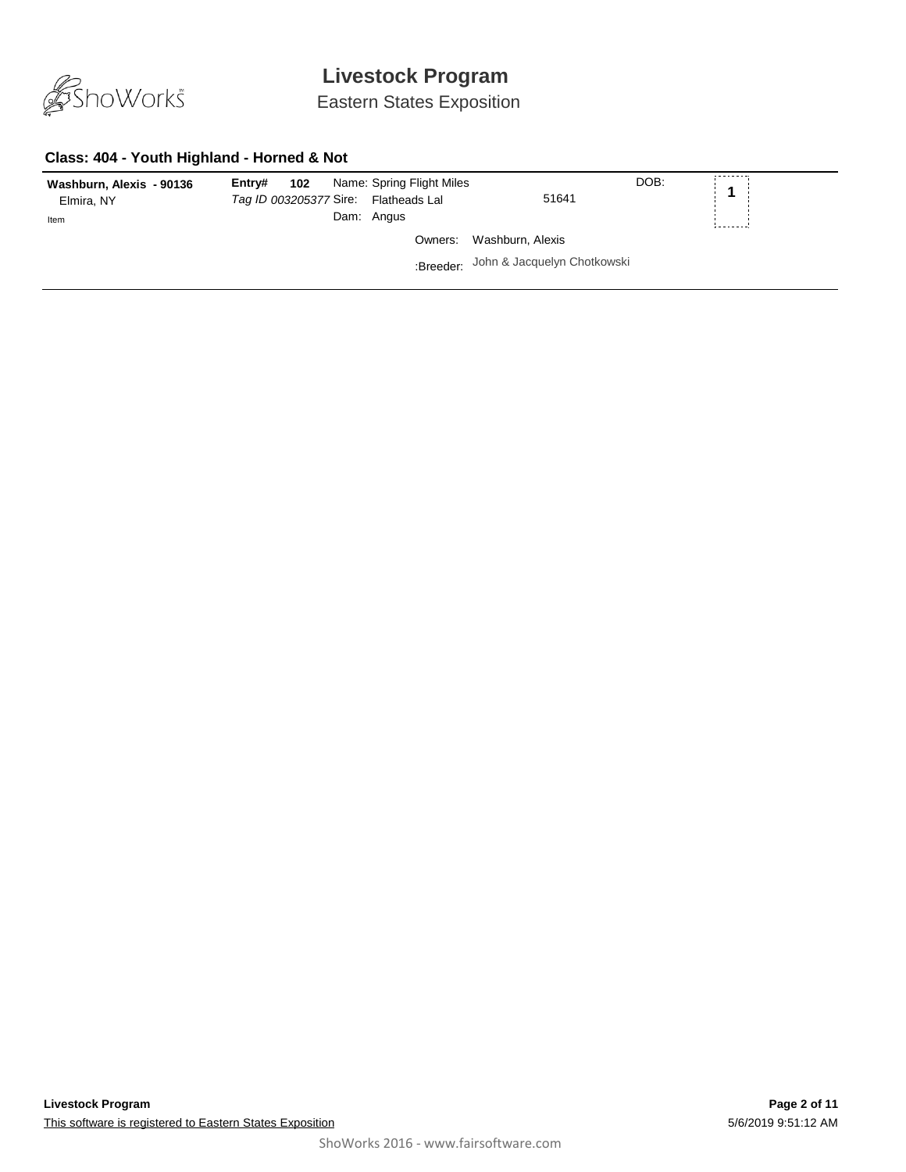

Eastern States Exposition

### **Class: 404 - Youth Highland - Horned & Not**

| Washburn, Alexis - 90136<br>Elmira, NY<br>Item | 102<br>Name: Spring Flight Miles<br>Entrv#<br>Tag ID 003205377 Sire: Flatheads Lal<br>Dam: Angus | 51641                                 | DOB:<br>$\mathbf{A}$ |
|------------------------------------------------|--------------------------------------------------------------------------------------------------|---------------------------------------|----------------------|
|                                                |                                                                                                  | Owners: Washburn, Alexis              |                      |
|                                                |                                                                                                  | :Breeder: John & Jacquelyn Chotkowski |                      |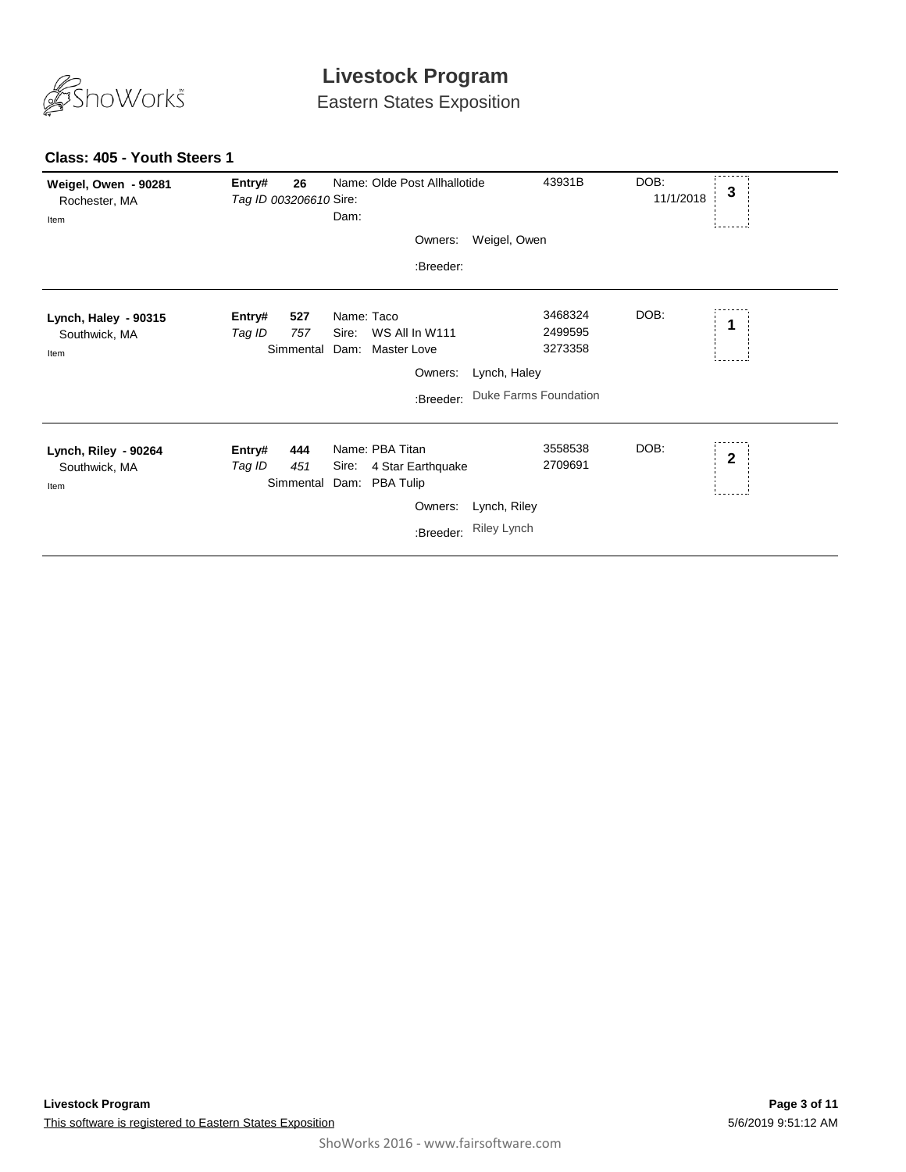

Eastern States Exposition

| Weigel, Owen - 90281<br>Rochester, MA<br>Item | Entry#<br>Tag ID 003206610 Sire: | 26                      | Dam:                | Name: Olde Post Allhallotide                           |                              | 43931B                        | DOB:<br>11/1/2018 | 3           |
|-----------------------------------------------|----------------------------------|-------------------------|---------------------|--------------------------------------------------------|------------------------------|-------------------------------|-------------------|-------------|
|                                               |                                  |                         |                     | Owners:                                                | Weigel, Owen                 |                               |                   |             |
|                                               |                                  |                         |                     | :Breeder:                                              |                              |                               |                   |             |
| Lynch, Haley - 90315<br>Southwick, MA<br>Item | Entry#<br>Tag ID                 | 527<br>757<br>Simmental | Name: Taco<br>Sire: | WS All In W111<br>Dam: Master Love                     |                              | 3468324<br>2499595<br>3273358 | DOB:              | 1           |
|                                               |                                  |                         |                     | Owners:                                                | Lynch, Haley                 |                               |                   |             |
|                                               |                                  |                         |                     | :Breeder:                                              | <b>Duke Farms Foundation</b> |                               |                   |             |
| Lynch, Riley - 90264<br>Southwick, MA<br>Item | Entry#<br>Tag ID                 | 444<br>451<br>Simmental | Sire:               | Name: PBA Titan<br>4 Star Earthquake<br>Dam: PBA Tulip |                              | 3558538<br>2709691            | DOB:              | $\mathbf 2$ |
|                                               |                                  |                         |                     | Owners:                                                | Lynch, Riley                 |                               |                   |             |
|                                               |                                  |                         |                     | :Breeder:                                              | <b>Riley Lynch</b>           |                               |                   |             |

### **Class: 405 - Youth Steers 1**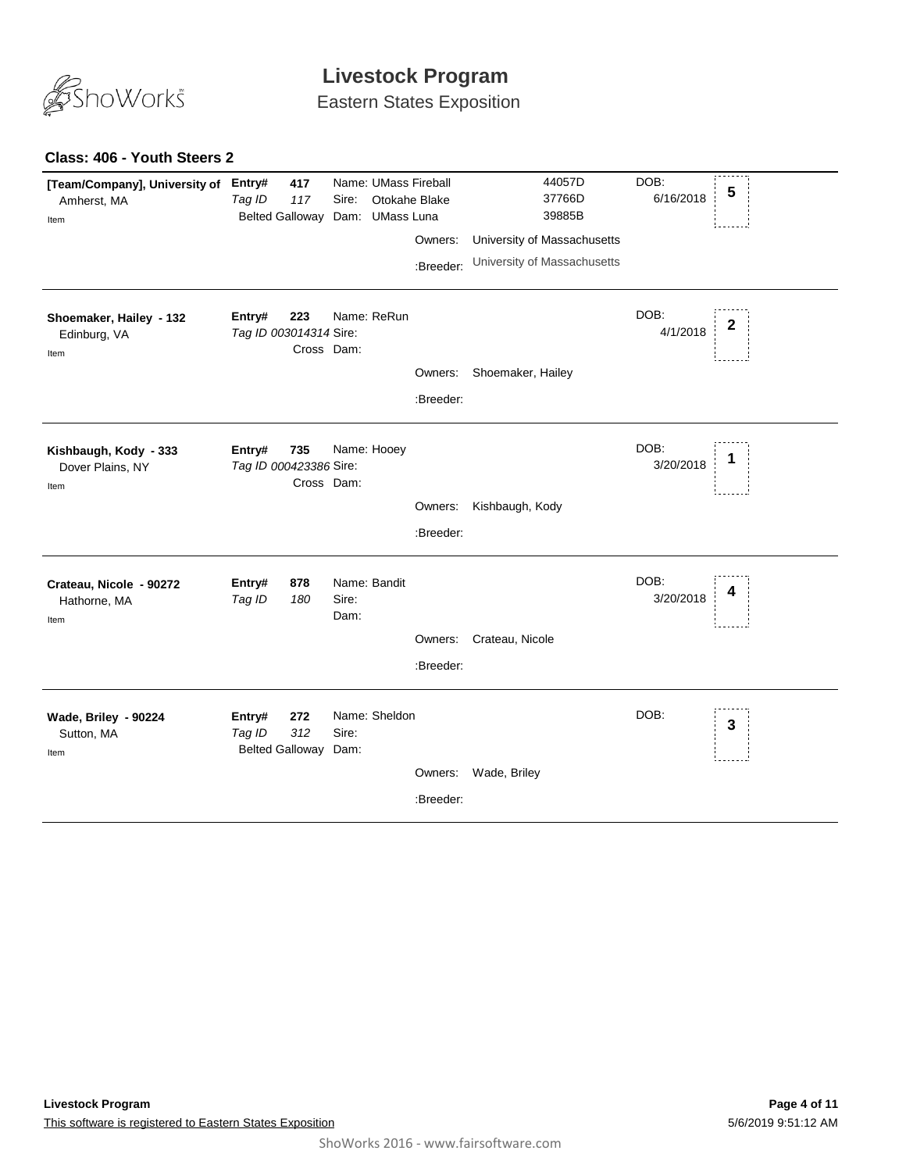

Eastern States Exposition

### **Class: 406 - Youth Steers 2**

| [Team/Company], University of<br>Amherst, MA<br>Item | Entry#<br>Tag ID<br>Belted Galloway Dam: | 417<br>117        | Sire:         | Name: UMass Fireball<br>Otokahe Blake<br>UMass Luna | Owners:<br>:Breeder: | 44057D<br>37766D<br>39885B<br>University of Massachusetts<br>University of Massachusetts | DOB:<br>6/16/2018 | 5            |
|------------------------------------------------------|------------------------------------------|-------------------|---------------|-----------------------------------------------------|----------------------|------------------------------------------------------------------------------------------|-------------------|--------------|
| Shoemaker, Hailey - 132<br>Edinburg, VA<br>Item      | Entry#<br>Tag ID 003014314 Sire:         | 223<br>Cross Dam: |               | Name: ReRun                                         | Owners:<br>:Breeder: | Shoemaker, Hailey                                                                        | DOB:<br>4/1/2018  | 2            |
| Kishbaugh, Kody - 333<br>Dover Plains, NY<br>Item    | Entry#<br>Tag ID 000423386 Sire:         | 735<br>Cross Dam: |               | Name: Hooey                                         | Owners:<br>:Breeder: | Kishbaugh, Kody                                                                          | DOB:<br>3/20/2018 |              |
| Crateau, Nicole - 90272<br>Hathorne, MA<br>Item      | Entry#<br>Tag ID                         | 878<br>180        | Sire:<br>Dam: | Name: Bandit                                        | Owners:<br>:Breeder: | Crateau, Nicole                                                                          | DOB:<br>3/20/2018 | 4            |
| Wade, Briley - 90224<br>Sutton, MA<br>Item           | Entry#<br>Tag ID<br>Belted Galloway Dam: | 272<br>312        | Sire:         | Name: Sheldon                                       | Owners:<br>:Breeder: | Wade, Briley                                                                             | DOB:              | $\mathbf{3}$ |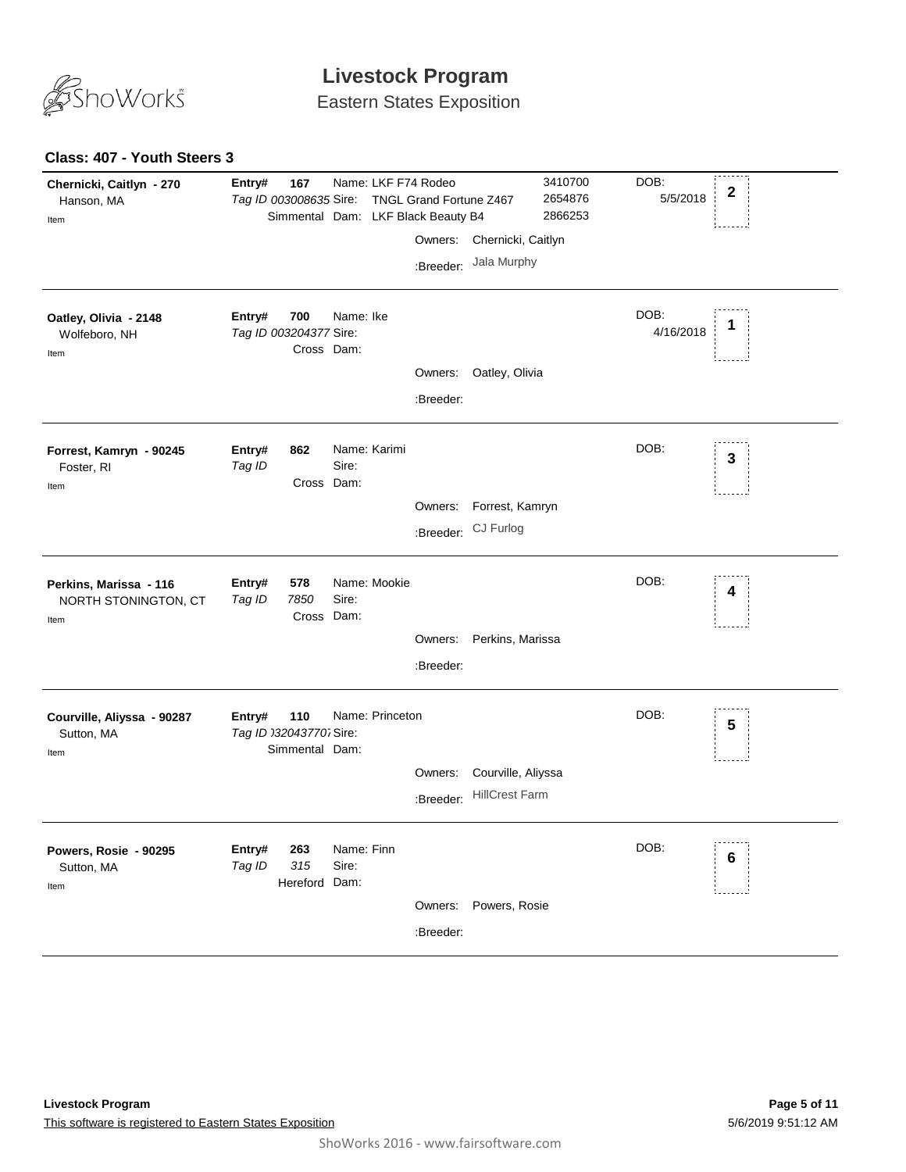

Eastern States Exposition

### **Class: 407 - Youth Steers 3**

| Chernicki, Caitlyn - 270<br>Hanson, MA<br>Item         | Entry#<br>Tag ID 003008635 Sire:  | 167                         | Name: LKF F74 Rodeo<br>Simmental Dam: LKF Black Beauty B4 | TNGL Grand Fortune Z467 |                       | 3410700<br>2654876<br>2866253 | DOB:<br>5/5/2018  | $\mathbf 2$     |
|--------------------------------------------------------|-----------------------------------|-----------------------------|-----------------------------------------------------------|-------------------------|-----------------------|-------------------------------|-------------------|-----------------|
|                                                        |                                   |                             |                                                           | Owners:                 | Chernicki, Caitlyn    |                               |                   |                 |
|                                                        |                                   |                             |                                                           | :Breeder:               | Jala Murphy           |                               |                   |                 |
| Oatley, Olivia - 2148<br>Wolfeboro, NH<br>Item         | Entry#<br>Tag ID 003204377 Sire:  | 700<br>Cross Dam:           | Name: Ike                                                 |                         |                       |                               | DOB:<br>4/16/2018 | 1               |
|                                                        |                                   |                             |                                                           | Owners:                 | Oatley, Olivia        |                               |                   |                 |
|                                                        |                                   |                             |                                                           | :Breeder:               |                       |                               |                   |                 |
| Forrest, Kamryn - 90245<br>Foster, RI<br>Item          | Entry#<br>Tag ID                  | 862<br>Cross Dam:           | Name: Karimi<br>Sire:                                     |                         |                       |                               | DOB:              | 3               |
|                                                        |                                   |                             |                                                           | Owners:                 | Forrest, Kamryn       |                               |                   |                 |
|                                                        |                                   |                             |                                                           |                         | :Breeder: CJ Furlog   |                               |                   |                 |
| Perkins, Marissa - 116<br>NORTH STONINGTON, CT<br>Item | Entry#<br>Tag ID                  | 578<br>7850<br>Cross Dam:   | Name: Mookie<br>Sire:                                     |                         |                       |                               | DOB:              | 4               |
|                                                        |                                   |                             |                                                           | Owners:                 | Perkins, Marissa      |                               |                   |                 |
|                                                        |                                   |                             |                                                           | :Breeder:               |                       |                               |                   |                 |
| Courville, Aliyssa - 90287<br>Sutton, MA<br>Item       | Entry#<br>Tag ID 032043770. Sire: | 110<br>Simmental Dam:       | Name: Princeton                                           |                         |                       |                               | DOB:              | 5               |
|                                                        |                                   |                             |                                                           | Owners:                 | Courville, Aliyssa    |                               |                   |                 |
|                                                        |                                   |                             |                                                           | :Breeder:               | <b>HillCrest Farm</b> |                               |                   |                 |
| Powers, Rosie - 90295<br>Sutton, MA<br>Item            | Entry#<br>Tag ID                  | 263<br>315<br>Hereford Dam: | Name: Finn<br>Sire:                                       |                         |                       |                               | DOB:              | $6\phantom{1}6$ |
|                                                        |                                   |                             |                                                           |                         | Owners: Powers, Rosie |                               |                   |                 |
|                                                        |                                   |                             |                                                           | :Breeder:               |                       |                               |                   |                 |
|                                                        |                                   |                             |                                                           |                         |                       |                               |                   |                 |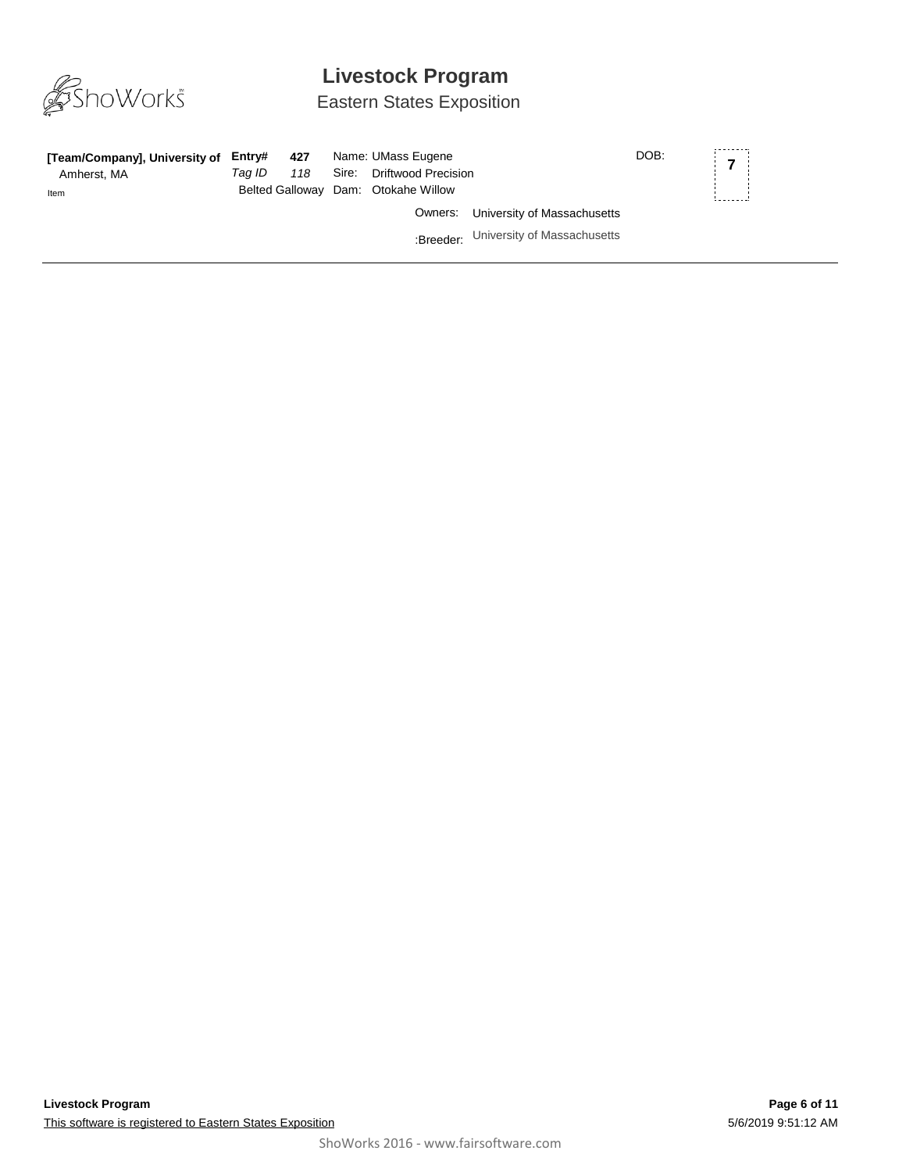

## Eastern States Exposition

| [Team/Company], University of Entry#<br>Amherst, MA | Tag ID | 427<br>118 | Name: UMass Eugene<br>Sire: Driftwood Precision |                                       | DOB: | $\overline{z}$ |
|-----------------------------------------------------|--------|------------|-------------------------------------------------|---------------------------------------|------|----------------|
| Item                                                |        |            | Belted Galloway Dam: Otokahe Willow             |                                       |      |                |
|                                                     |        |            |                                                 | Owners: University of Massachusetts   |      |                |
|                                                     |        |            |                                                 | :Breeder: University of Massachusetts |      |                |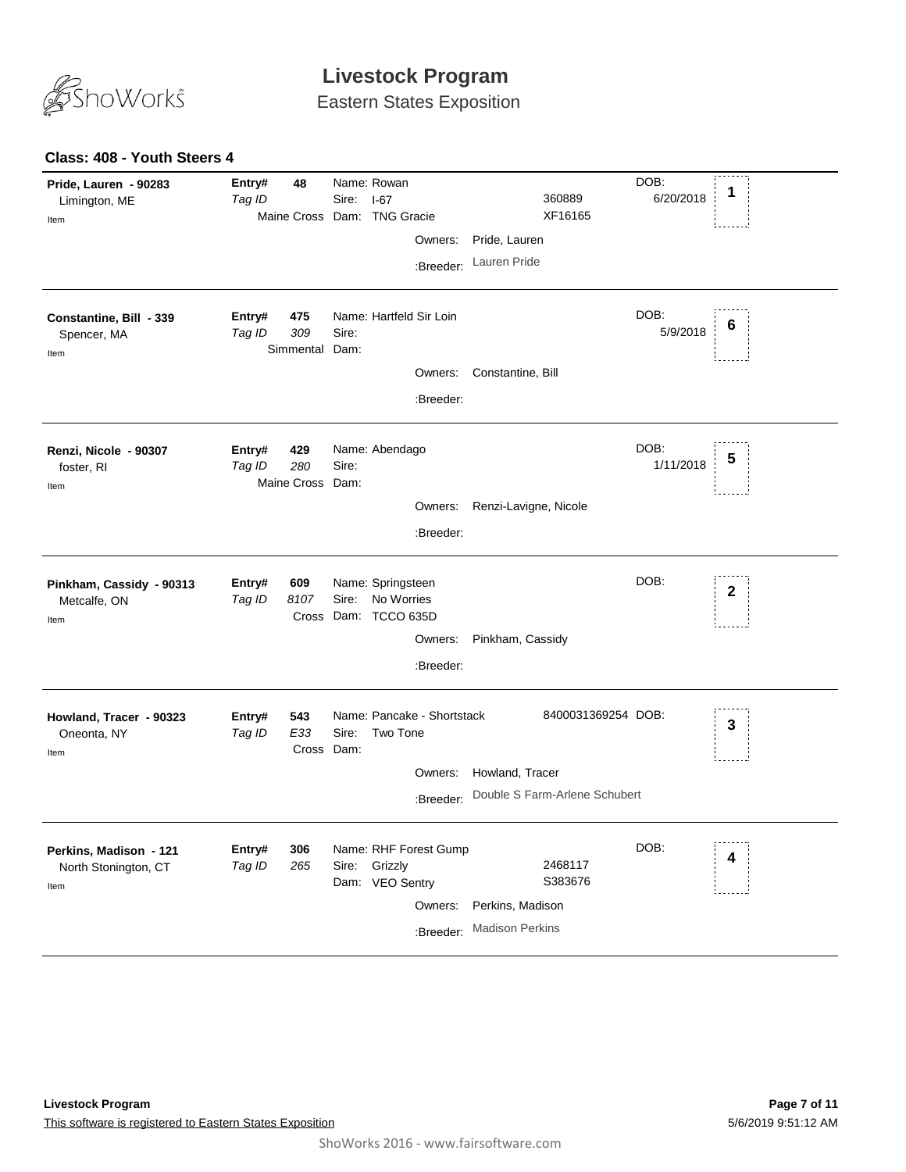

Eastern States Exposition

#### **Class: 408 - Youth Steers 4**

| Pride, Lauren - 90283<br>Limington, ME<br>Item         | Entry#<br>Tag ID | 48                             | Sire: | Name: Rowan<br>$I-67$<br>Maine Cross Dam: TNG Gracie<br>Owners:<br>:Breeder:      | 360889<br>XF16165<br>Pride, Lauren<br>Lauren Pride                     | DOB:<br>6/20/2018 | 1            |
|--------------------------------------------------------|------------------|--------------------------------|-------|-----------------------------------------------------------------------------------|------------------------------------------------------------------------|-------------------|--------------|
| Constantine, Bill - 339<br>Spencer, MA<br>Item         | Entry#<br>Tag ID | 475<br>309<br>Simmental Dam:   | Sire: | Name: Hartfeld Sir Loin<br>Owners:<br>:Breeder:                                   | Constantine, Bill                                                      | DOB:<br>5/9/2018  | 6            |
| Renzi, Nicole - 90307<br>foster, RI<br>Item            | Entry#<br>Tag ID | 429<br>280<br>Maine Cross Dam: | Sire: | Name: Abendago<br>Owners:<br>:Breeder:                                            | Renzi-Lavigne, Nicole                                                  | DOB:<br>1/11/2018 |              |
| Pinkham, Cassidy - 90313<br>Metcalfe, ON<br>Item       | Entry#<br>Tag ID | 609<br>8107                    | Sire: | Name: Springsteen<br>No Worries<br>Cross Dam: TCCO 635D<br>Owners:<br>:Breeder:   | Pinkham, Cassidy                                                       | DOB:              | $\mathbf{2}$ |
| Howland, Tracer - 90323<br>Oneonta, NY<br>Item         | Entry#<br>Tag ID | 543<br>E33<br>Cross Dam:       | Sire: | Name: Pancake - Shortstack<br>Two Tone<br>Owners:<br>:Breeder:                    | 8400031369254 DOB:<br>Howland, Tracer<br>Double S Farm-Arlene Schubert |                   | 3            |
| Perkins, Madison - 121<br>North Stonington, CT<br>Item | Entry#<br>Tag ID | 306<br>265                     |       | Name: RHF Forest Gump<br>Sire: Grizzly<br>Dam: VEO Sentry<br>Owners:<br>:Breeder: | 2468117<br>S383676<br>Perkins, Madison<br><b>Madison Perkins</b>       | DOB:              | 4            |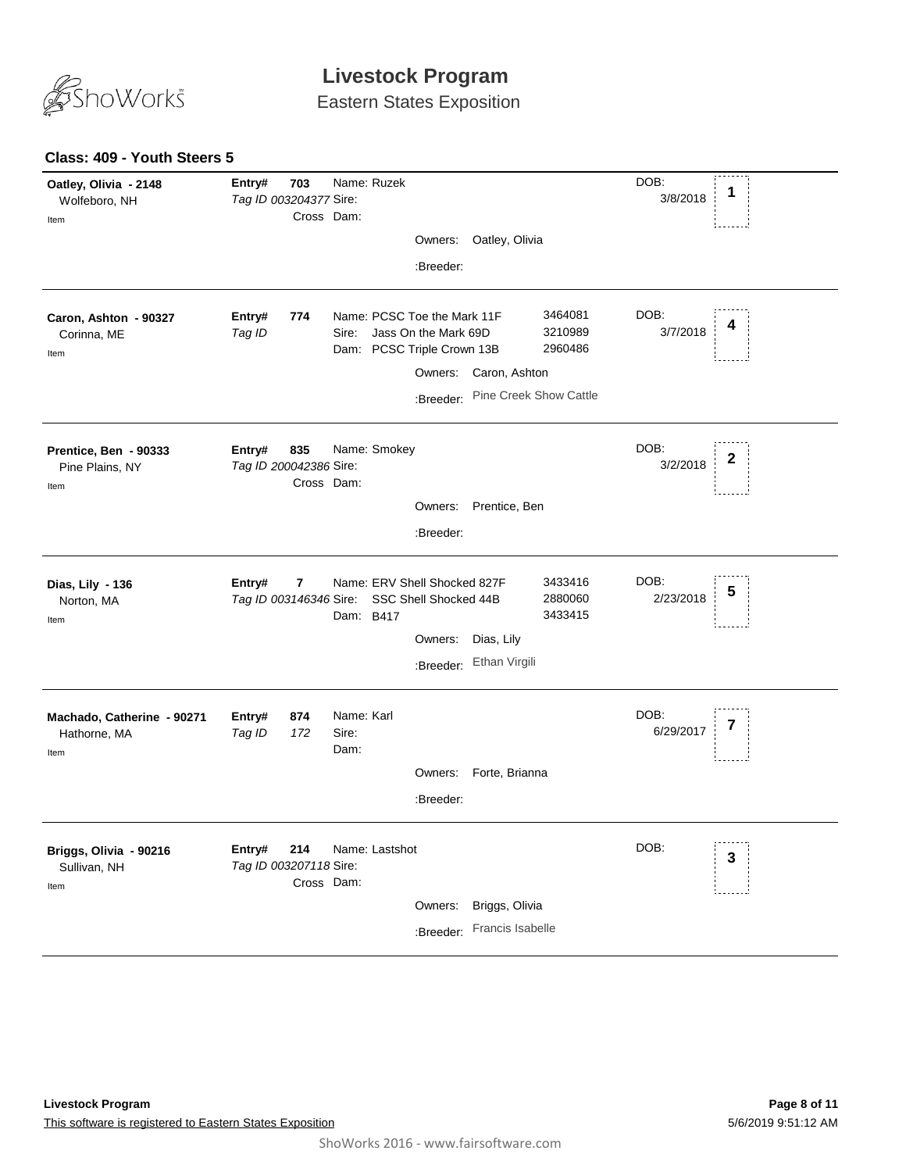

Eastern States Exposition

| Oatley, Olivia - 2148<br>Wolfeboro, NH             | Entry#<br>Tag ID 003204377 Sire: | 703               | Name: Ruzek                 |                |                                                                                   |                  |                               | DOB:<br>3/8/2018  | 1 |
|----------------------------------------------------|----------------------------------|-------------------|-----------------------------|----------------|-----------------------------------------------------------------------------------|------------------|-------------------------------|-------------------|---|
| Item                                               |                                  | Cross Dam:        |                             |                |                                                                                   |                  |                               |                   |   |
|                                                    |                                  |                   |                             |                | Owners:                                                                           | Oatley, Olivia   |                               |                   |   |
|                                                    |                                  |                   |                             |                | :Breeder:                                                                         |                  |                               |                   |   |
| Caron, Ashton - 90327<br>Corinna, ME<br>Item       | Entry#<br>Tag ID                 | 774               | Sire:                       |                | Name: PCSC Toe the Mark 11F<br>Jass On the Mark 69D<br>Dam: PCSC Triple Crown 13B |                  | 3464081<br>3210989<br>2960486 | DOB:<br>3/7/2018  | 4 |
|                                                    |                                  |                   |                             |                | Owners:                                                                           | Caron, Ashton    |                               |                   |   |
|                                                    |                                  |                   |                             |                | :Breeder:                                                                         |                  | Pine Creek Show Cattle        |                   |   |
| Prentice, Ben - 90333<br>Pine Plains, NY           | Entry#<br>Tag ID 200042386 Sire: | 835<br>Cross Dam: |                             | Name: Smokey   |                                                                                   |                  |                               | DOB:<br>3/2/2018  | 2 |
| Item                                               |                                  |                   |                             |                |                                                                                   |                  |                               |                   |   |
|                                                    |                                  |                   |                             |                | Owners:                                                                           | Prentice, Ben    |                               |                   |   |
|                                                    |                                  |                   |                             |                | :Breeder:                                                                         |                  |                               |                   |   |
| Dias, Lily - 136<br>Norton, MA<br>Item             | Entry#                           | 7                 | Dam: B417                   |                | Name: ERV Shell Shocked 827F<br>Tag ID 003146346 Sire: SSC Shell Shocked 44B      |                  | 3433416<br>2880060<br>3433415 | DOB:<br>2/23/2018 | 5 |
|                                                    |                                  |                   |                             |                | Owners:                                                                           | Dias, Lily       |                               |                   |   |
|                                                    |                                  |                   |                             |                |                                                                                   | Ethan Virgili    |                               |                   |   |
|                                                    |                                  |                   |                             |                | :Breeder:                                                                         |                  |                               |                   |   |
| Machado, Catherine - 90271<br>Hathorne, MA<br>Item | Entry#<br>Tag ID                 | 874<br>172        | Name: Karl<br>Sire:<br>Dam: |                |                                                                                   |                  |                               | DOB:<br>6/29/2017 |   |
|                                                    |                                  |                   |                             |                | Owners:                                                                           | Forte, Brianna   |                               |                   |   |
|                                                    |                                  |                   |                             |                | :Breeder:                                                                         |                  |                               |                   |   |
|                                                    |                                  |                   |                             |                |                                                                                   |                  |                               |                   |   |
| Briggs, Olivia - 90216<br>Sullivan, NH<br>Item     | Entry#<br>Tag ID 003207118 Sire: | 214<br>Cross Dam: |                             | Name: Lastshot |                                                                                   |                  |                               | DOB:              | 3 |
|                                                    |                                  |                   |                             |                | Owners:                                                                           | Briggs, Olivia   |                               |                   |   |
|                                                    |                                  |                   |                             |                |                                                                                   | Francis Isabelle |                               |                   |   |
|                                                    |                                  |                   |                             |                | :Breeder:                                                                         |                  |                               |                   |   |

### **Class: 409 - Youth Steers 5**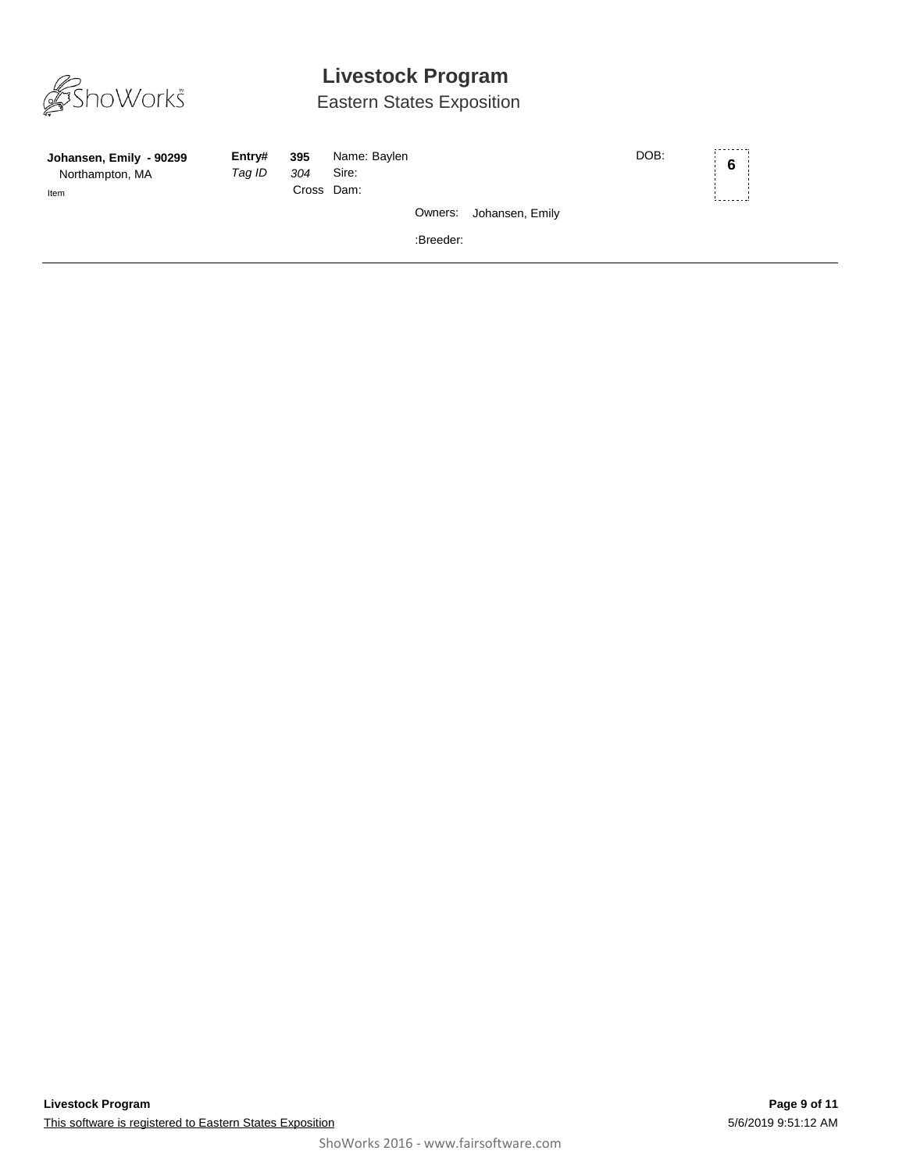

## Eastern States Exposition

| Johansen, Emily - 90299<br>Northampton, MA<br>Item | Entry#<br>Taq ID | 395<br>304<br>Cross Dam: | Name: Baylen<br>Sire: |           |                         | DOB: | 6 <sup>1</sup> |  |
|----------------------------------------------------|------------------|--------------------------|-----------------------|-----------|-------------------------|------|----------------|--|
|                                                    |                  |                          |                       |           | Owners: Johansen, Emily |      |                |  |
|                                                    |                  |                          |                       | :Breeder: |                         |      |                |  |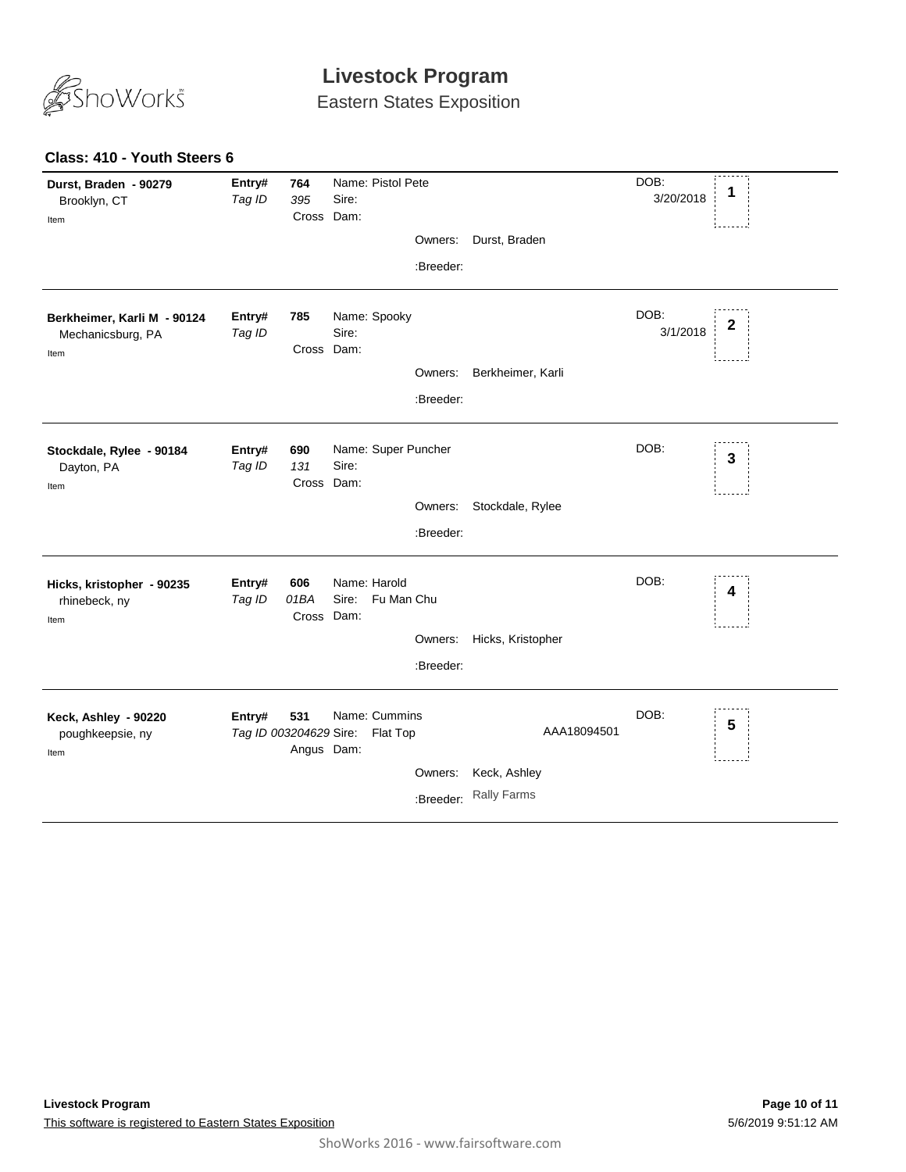

Eastern States Exposition

### **Class: 410 - Youth Steers 6**

| Durst, Braden - 90279<br>Brooklyn, CT<br>Item            | Entry#<br>Tag ID                 | 764<br>395<br>Cross Dam:  | Name: Pistol Pete<br>Sire:       |                      |                                                   | DOB:<br>3/20/2018 | 1                       |
|----------------------------------------------------------|----------------------------------|---------------------------|----------------------------------|----------------------|---------------------------------------------------|-------------------|-------------------------|
|                                                          |                                  |                           |                                  | Owners:              | Durst, Braden                                     |                   |                         |
|                                                          |                                  |                           |                                  | :Breeder:            |                                                   |                   |                         |
| Berkheimer, Karli M - 90124<br>Mechanicsburg, PA<br>Item | Entry#<br>Tag ID                 | 785<br>Cross Dam:         | Name: Spooky<br>Sire:            |                      |                                                   | DOB:<br>3/1/2018  | 2                       |
|                                                          |                                  |                           |                                  | Owners:              | Berkheimer, Karli                                 |                   |                         |
|                                                          |                                  |                           |                                  | :Breeder:            |                                                   |                   |                         |
| Stockdale, Rylee - 90184<br>Dayton, PA<br>Item           | Entry#<br>Tag ID                 | 690<br>131<br>Cross Dam:  | Name: Super Puncher<br>Sire:     |                      |                                                   | DOB:              | $\overline{\mathbf{3}}$ |
|                                                          |                                  |                           |                                  | Owners:              | Stockdale, Rylee                                  |                   |                         |
|                                                          |                                  |                           |                                  | :Breeder:            |                                                   |                   |                         |
| Hicks, kristopher - 90235<br>rhinebeck, ny<br>Item       | Entry#<br>Tag ID                 | 606<br>01BA<br>Cross Dam: | Name: Harold<br>Sire: Fu Man Chu | Owners:<br>:Breeder: | Hicks, Kristopher                                 | DOB:              | 4                       |
| Keck, Ashley - 90220<br>poughkeepsie, ny<br>Item         | Entry#<br>Tag ID 003204629 Sire: | 531<br>Angus Dam:         | Name: Cummins<br>Flat Top        | Owners:<br>:Breeder: | AAA18094501<br>Keck, Ashley<br><b>Rally Farms</b> | DOB:              | 5                       |